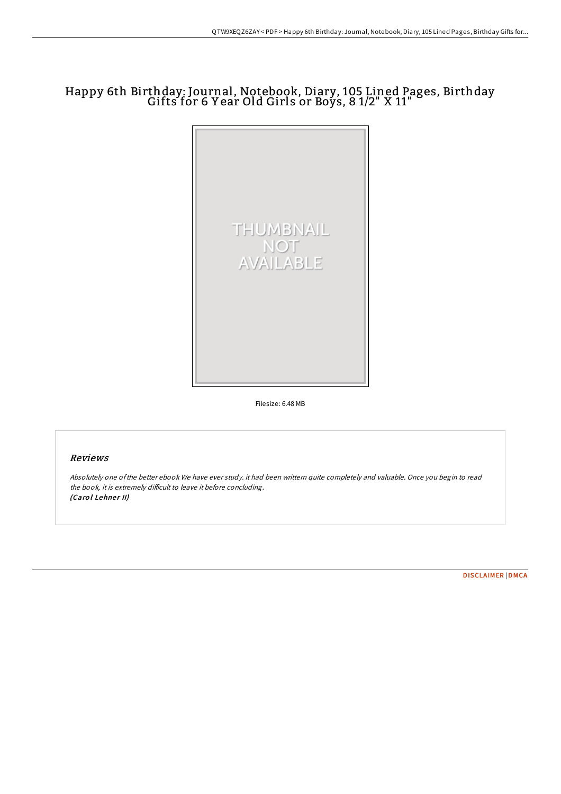# Happy 6th Birthday: Journal, Notebook, Diary, <sup>105</sup> Lined Pages, Birthday Gifts for <sup>6</sup> <sup>Y</sup> ear Old Girls or Boys, <sup>8</sup> 1/2" <sup>X</sup> 11"



Filesize: 6.48 MB

## Reviews

Absolutely one ofthe better ebook We have ever study. it had been writtern quite completely and valuable. Once you begin to read the book, it is extremely difficult to leave it before concluding. (Carol Lehner II)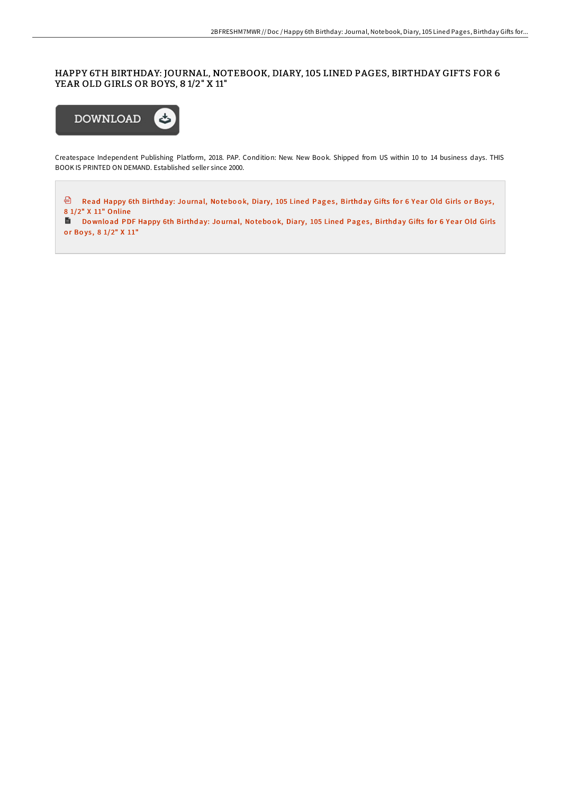### HAPPY 6TH BIRTHDAY: JOURNAL, NOTEBOOK, DIARY, 105 LINED PAGES, BIRTHDAY GIFTS FOR 6 YEAR OLD GIRLS OR BOYS, 8 1/2" X 11"



Createspace Independent Publishing Platform, 2018. PAP. Condition: New. New Book. Shipped from US within 10 to 14 business days. THIS BOOK IS PRINTED ON DEMAND. Established seller since 2000.

<sup>a</sup> Read Happy 6th Birthday: Journal, Notebook, Diary, 105 Lined Pages, Birthday Gifts for 6 Year Old Girls or Boys, 8 1/2" X 11" [Online](http://almighty24.tech/happy-6th-birthday-journal-notebook-diary-105-li.html)

Download PDF [Happy](http://almighty24.tech/happy-6th-birthday-journal-notebook-diary-105-li.html) 6th Birthday: Journal, Notebook, Diary, 105 Lined Pages, Birthday Gifts for 6 Year Old Girls or Boys, 8 1/2" X 11"